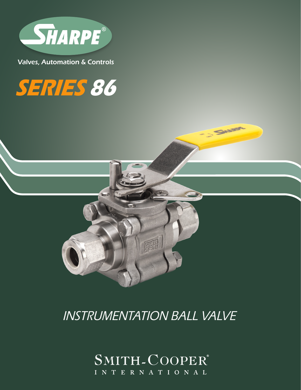

Valves, Automation & Controls

# **SERIES 86**



SHARS

## INSTRUMENTATION BALL VALVE

### SMITH-COOPER® I N T E R N A T I O N A L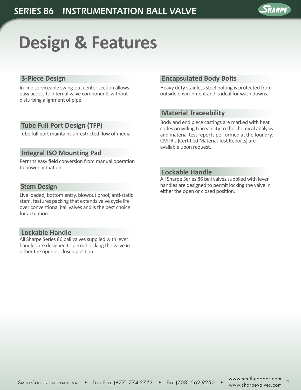

# **Design & Features**

#### **3-Piece Design**

In-line serviceable swing-out center section allows easy access to internal valve components without disturbing alignment of pipe.

#### **Tube Full Port Design (TFP)**

Tube full port maintains unrestricted flow of media.

#### **Integral ISO Mounting Pad**

Permits easy field conversion from manual operation to power actuation.

#### **Stem Design**

Live loaded, bottom entry, blowout proof, anti-static stem, features packing that extends valve cycle life over conventional ball valves and is the best choice for actuation.

#### **Lockable Handle**

All Sharpe Series 86 ball valves supplied with lever handles are designed to permit locking the valve in either the open or closed position.

#### **Encapsulated Body Bolts**

Heavy duty stainless steel bolting is protected from outside environment and is ideal for wash downs.

#### **Material Traceability**

Body and end piece castings are marked with heat codes providing traceability to the chemical analysis and material test reports performed at the foundry. CMTR's (Certified Material Test Reports) are available upon request.

#### **Lockable Handle**

All Sharpe Series 86 ball valves supplied with lever handles are designed to permit locking the valve in either the open or closed position.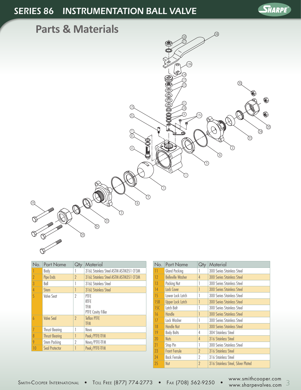### SERIES 86 INSTRUMENTATION BALL VALVE





| No.            | <b>Part Name</b>      | Qtv            | Material                                         |
|----------------|-----------------------|----------------|--------------------------------------------------|
|                | Body                  |                | 316L Stainless Steel ASTM ASTM351 CF3M           |
| 2              | Pipe Ends             | $\overline{2}$ | 316L Stainless Steel ASTM ASTM351 CF3M           |
| $\overline{3}$ | Ball                  |                | 316L Stainless Steel                             |
| 4              | <b>Stem</b>           |                | 316L Stainless Steel                             |
| $\overline{5}$ | <b>Valve Seat</b>     | $\gamma$       | PTFF<br>RTFF<br><b>TFM</b><br>PTFE Cavity Filler |
| h              | <b>Valve Seal</b>     | $\gamma$       | <b>Teflon PTFE</b><br><b>TFM</b>                 |
| 7              | <b>Thrust Bearing</b> |                | Nova                                             |
| $\overline{8}$ | <b>Thrust Bearing</b> |                | Peek/PTFE-TFM                                    |
| 9              | Stem Packing          | 2              | Nova/PTFE-TFM                                    |
| 10             | <b>Seal Protector</b> |                | Peek/PTFE-TFM                                    |

| No. | <b>Part Name</b>         | Qty            | Material                           |
|-----|--------------------------|----------------|------------------------------------|
| 11  | <b>Gland Packing</b>     |                | 300 Series Stainless Steel         |
| 12  | <b>Belleville Washer</b> | 4              | <b>300 Series Stainless Steel</b>  |
| 13  | Packing Nut              | 1              | 300 Series Stainless Steel         |
| 14  | Lock Cover               | 1              | 300 Series Stainless Steel         |
| 15  | Lower Lock Latch         |                | 300 Series Stainless Steel         |
| 15B | <b>Upper Lock Latch</b>  | 1              | <b>300 Series Stainless Steel</b>  |
| 15C | Latch Bolt               |                | 300 Series Stainless Steel         |
| 16  | Handle                   | 1              | 300 Series Stainless Steel         |
| 17  | Lock Washer              | 1              | 300 Series Stainless Steel         |
| 18  | <b>Handle Nut</b>        | 1              | <b>300 Series Stainless Steel</b>  |
| 19  | <b>Body Bolts</b>        | 4              | 304 Stainless Steel                |
| 20  | <b>Nuts</b>              | 4              | 316 Stainless Steel                |
| 21  | Stop Pin                 | 1              | 300 Series Stainless Steel         |
| 23  | <b>Front Ferrule</b>     | $\gamma$       | 316 Stainless Steel                |
| 24  | <b>Back Ferrule</b>      | $\gamma$       | 316 Stainless Steel                |
| 25  | Nut                      | $\overline{2}$ | 316 Stainless Steel, Silver Plated |

Smith-Cooper International • Toll Free (877) 774-2773 • Fax (708) 562-9250 • www.smithcooper.com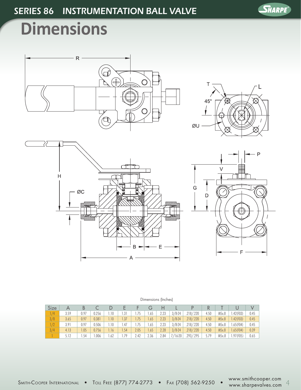

## **Dimensions**







| Dimensions (Inches) |  |
|---------------------|--|
|---------------------|--|

| Size       | А    |      |       |      |        |      | $\sigma$ | н    |            |           |      |       |           |      |
|------------|------|------|-------|------|--------|------|----------|------|------------|-----------|------|-------|-----------|------|
| $\sqrt{4}$ | 3.59 | 0.97 | 0.256 | 1.10 | . .31  | 1.75 | .65      | 2.23 | $3/8 - 24$ | .218/.220 | 4.50 | M5x.8 | .42(F03)  | 0.45 |
| 3/8        | 3.65 | 0.97 | 0.381 | .10  | 1.37   | 1.75 | 1.65     | 2.23 | $3/8 - 24$ | .218/.220 | 4.50 | M5x.8 | .42(F03)  | 0.45 |
|            | 3.91 | 0.97 | 0.506 | .10  | .47    | 1.75 | 1.65     | 2.23 | $3/8 - 24$ | .218/.220 | 4.50 | M5x.8 | .65(F04)  | 0.45 |
| 3/4        | 4.13 | .05  | 0.756 | 1.16 | .54    | 2.05 | .65      | 2.28 | $3/8 - 24$ | .218/.220 | 4.50 | M5x.8 | 1.65(F04) | 0.39 |
|            | 512  | .54  | .006  | . 62 | . . 79 | 2.42 | 2.36     | 2.84 | $16 - 20$  | .293/.295 | 579  | M5x.8 | .97(F05)  | 0.65 |